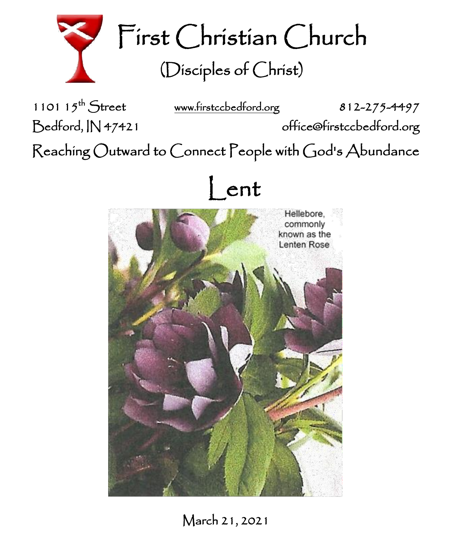

First Christian Church (Disciples of Christ)

1101  $15^{th}$  Street

[www.firstccbedford.org](http://www.firstccbedford.org/) 812-275-4497

Bedford, IN 47421 office@firstccbedford.org

 $\sf Reaching~Outward$  to  $\sf{Connect}$   $\sf{People}$  with  $\sf{God's}$   $\sf{Abundance}$ 





March 21, 2021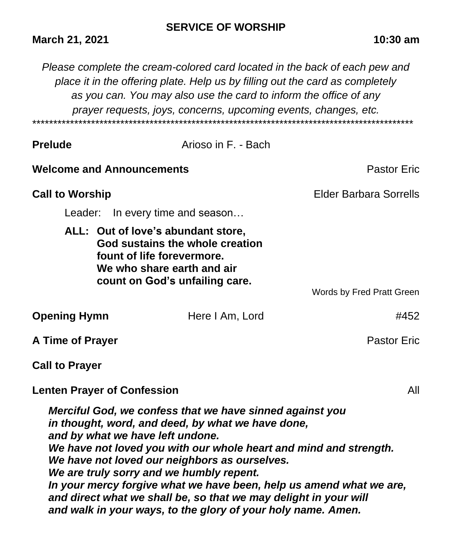## **SERVICE OF WORSHIP**

## **March 21, 2021 10:30 am**

*Please complete the cream-colored card located in the back of each pew and place it in the offering plate. Help us by filling out the card as completely as you can. You may also use the card to inform the office of any prayer requests, joys, concerns, upcoming events, changes, etc.*  \*\*\*\*\*\*\*\*\*\*\*\*\*\*\*\*\*\*\*\*\*\*\*\*\*\*\*\*\*\*\*\*\*\*\*\*\*\*\*\*\*\*\*\*\*\*\*\*\*\*\*\*\*\*\*\*\*\*\*\*\*\*\*\*\*\*\*\*\*\*\*\*\*\*\*\*\*\*\*\*\*\*\*\*\*\*\*\*\*\*\*

| <b>Prelude</b>                                                                                                                                                                                                                                                                                                                                                                                                                                                                                                                 |                                                                                                                                                                     | Arioso in F. - Bach |                               |  |
|--------------------------------------------------------------------------------------------------------------------------------------------------------------------------------------------------------------------------------------------------------------------------------------------------------------------------------------------------------------------------------------------------------------------------------------------------------------------------------------------------------------------------------|---------------------------------------------------------------------------------------------------------------------------------------------------------------------|---------------------|-------------------------------|--|
|                                                                                                                                                                                                                                                                                                                                                                                                                                                                                                                                | <b>Welcome and Announcements</b>                                                                                                                                    |                     | <b>Pastor Eric</b>            |  |
| <b>Call to Worship</b>                                                                                                                                                                                                                                                                                                                                                                                                                                                                                                         |                                                                                                                                                                     |                     | <b>Elder Barbara Sorrells</b> |  |
|                                                                                                                                                                                                                                                                                                                                                                                                                                                                                                                                | Leader: In every time and season                                                                                                                                    |                     |                               |  |
|                                                                                                                                                                                                                                                                                                                                                                                                                                                                                                                                | ALL: Out of love's abundant store,<br>God sustains the whole creation<br>fount of life forevermore.<br>We who share earth and air<br>count on God's unfailing care. |                     |                               |  |
|                                                                                                                                                                                                                                                                                                                                                                                                                                                                                                                                |                                                                                                                                                                     |                     | Words by Fred Pratt Green     |  |
| <b>Opening Hymn</b>                                                                                                                                                                                                                                                                                                                                                                                                                                                                                                            |                                                                                                                                                                     | Here I Am, Lord     | #452                          |  |
| A Time of Prayer                                                                                                                                                                                                                                                                                                                                                                                                                                                                                                               |                                                                                                                                                                     |                     | <b>Pastor Eric</b>            |  |
| <b>Call to Prayer</b>                                                                                                                                                                                                                                                                                                                                                                                                                                                                                                          |                                                                                                                                                                     |                     |                               |  |
|                                                                                                                                                                                                                                                                                                                                                                                                                                                                                                                                | <b>Lenten Prayer of Confession</b>                                                                                                                                  |                     | All                           |  |
| Merciful God, we confess that we have sinned against you<br>in thought, word, and deed, by what we have done,<br>and by what we have left undone.<br>We have not loved you with our whole heart and mind and strength.<br>We have not loved our neighbors as ourselves.<br>We are truly sorry and we humbly repent.<br>In your mercy forgive what we have been, help us amend what we are,<br>and direct what we shall be, so that we may delight in your will<br>and walk in your ways, to the glory of your holy name. Amen. |                                                                                                                                                                     |                     |                               |  |